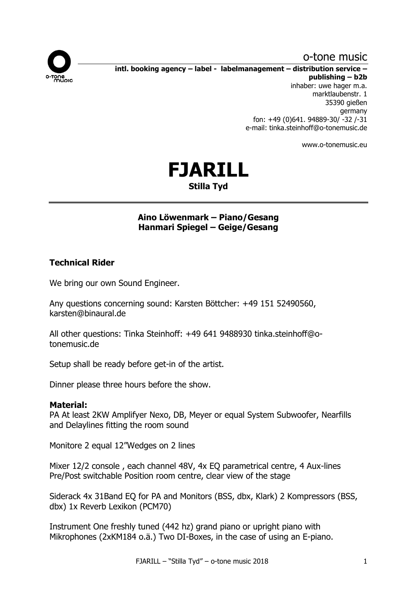# o-tone music



**intl. booking agency – label - labelmanagement – distribution service – publishing – b2b**

inhaber: uwe hager m.a. marktlaubenstr. 1 35390 gießen germany fon: +49 (0)641. 94889-30/ -32 /-31 e-mail: tinka.steinhoff@o-tonemusic.de

www.o-tonemusic.eu



# **Aino Löwenmark – Piano/Gesang Hanmari Spiegel – Geige/Gesang**

# **Technical Rider**

We bring our own Sound Engineer.

Any questions concerning sound: Karsten Böttcher: +49 151 52490560, karsten@binaural.de

All other questions: Tinka Steinhoff: +49 641 9488930 tinka.steinhoff@otonemusic.de

Setup shall be ready before get-in of the artist.

Dinner please three hours before the show.

## **Material:**

PA At least 2KW Amplifyer Nexo, DB, Meyer or equal System Subwoofer, Nearfills and Delaylines fitting the room sound

Monitore 2 equal 12"Wedges on 2 lines

Mixer 12/2 console, each channel 48V, 4x EO parametrical centre, 4 Aux-lines Pre/Post switchable Position room centre, clear view of the stage

Siderack 4x 31Band EQ for PA and Monitors (BSS, dbx, Klark) 2 Kompressors (BSS, dbx) 1x Reverb Lexikon (PCM70)

Instrument One freshly tuned (442 hz) grand piano or upright piano with Mikrophones (2xKM184 o.ä.) Two DI-Boxes, in the case of using an E-piano.